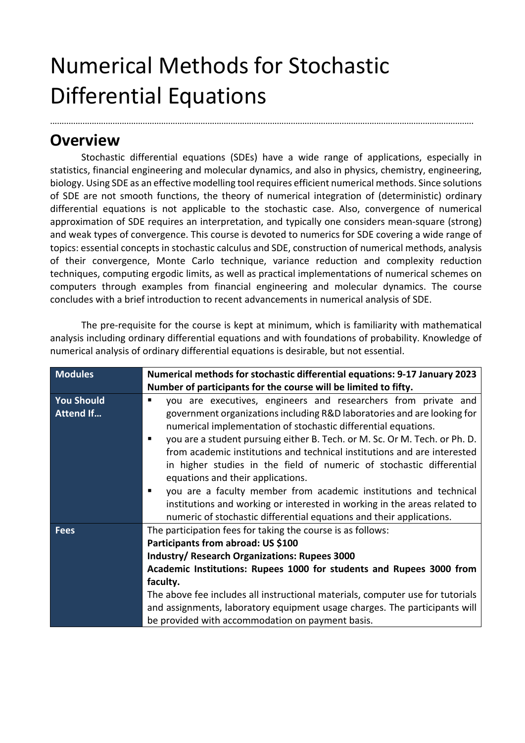## Numerical Methods for Stochastic Differential Equations

## **Overview**

Stochastic differential equations (SDEs) have a wide range of applications, especially in statistics, financial engineering and molecular dynamics, and also in physics, chemistry, engineering, biology. Using SDE as an effective modelling tool requires efficient numerical methods. Since solutions of SDE are not smooth functions, the theory of numerical integration of (deterministic) ordinary differential equations is not applicable to the stochastic case. Also, convergence of numerical approximation of SDE requires an interpretation, and typically one considers mean-square (strong) and weak types of convergence. This course is devoted to numerics for SDE covering a wide range of topics: essential concepts in stochastic calculus and SDE, construction of numerical methods, analysis of their convergence, Monte Carlo technique, variance reduction and complexity reduction techniques, computing ergodic limits, as well as practical implementations of numerical schemes on computers through examples from financial engineering and molecular dynamics. The course concludes with a brief introduction to recent advancements in numerical analysis of SDE.

.......................................................................................................................................................................................

The pre-requisite for the course is kept at minimum, which is familiarity with mathematical analysis including ordinary differential equations and with foundations of probability. Knowledge of numerical analysis of ordinary differential equations is desirable, but not essential.

| <b>Modules</b>    | Numerical methods for stochastic differential equations: 9-17 January 2023      |
|-------------------|---------------------------------------------------------------------------------|
|                   | Number of participants for the course will be limited to fifty.                 |
| <b>You Should</b> | you are executives, engineers and researchers from private and<br>٠             |
| <b>Attend If</b>  | government organizations including R&D laboratories and are looking for         |
|                   | numerical implementation of stochastic differential equations.                  |
|                   | you are a student pursuing either B. Tech. or M. Sc. Or M. Tech. or Ph. D.<br>п |
|                   | from academic institutions and technical institutions and are interested        |
|                   | in higher studies in the field of numeric of stochastic differential            |
|                   | equations and their applications.                                               |
|                   | you are a faculty member from academic institutions and technical<br>٠          |
|                   | institutions and working or interested in working in the areas related to       |
|                   | numeric of stochastic differential equations and their applications.            |
| <b>Fees</b>       | The participation fees for taking the course is as follows:                     |
|                   | Participants from abroad: US \$100                                              |
|                   | <b>Industry/ Research Organizations: Rupees 3000</b>                            |
|                   | Academic Institutions: Rupees 1000 for students and Rupees 3000 from            |
|                   | faculty.                                                                        |
|                   | The above fee includes all instructional materials, computer use for tutorials  |
|                   | and assignments, laboratory equipment usage charges. The participants will      |
|                   | be provided with accommodation on payment basis.                                |